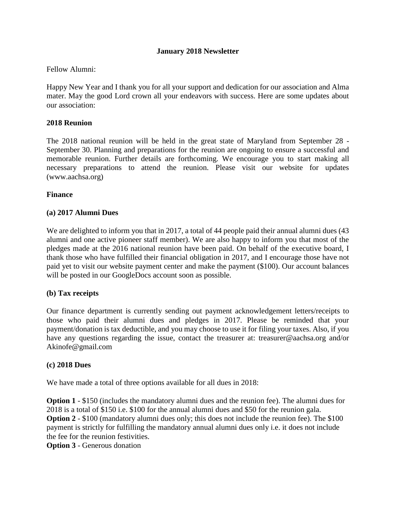## **January 2018 Newsletter**

## Fellow Alumni:

Happy New Year and I thank you for all your support and dedication for our association and Alma mater. May the good Lord crown all your endeavors with success. Here are some updates about our association:

### **2018 Reunion**

The 2018 national reunion will be held in the great state of Maryland from September 28 - September 30. Planning and preparations for the reunion are ongoing to ensure a successful and memorable reunion. Further details are forthcoming. We encourage you to start making all necessary preparations to attend the reunion. Please visit our website for updates (www.aachsa.org)

### **Finance**

## **(a) 2017 Alumni Dues**

We are delighted to inform you that in 2017, a total of 44 people paid their annual alumni dues (43 alumni and one active pioneer staff member). We are also happy to inform you that most of the pledges made at the 2016 national reunion have been paid. On behalf of the executive board, I thank those who have fulfilled their financial obligation in 2017, and I encourage those have not paid yet to visit our website payment center and make the payment (\$100). Our account balances will be posted in our GoogleDocs account soon as possible.

### **(b) Tax receipts**

Our finance department is currently sending out payment acknowledgement letters/receipts to those who paid their alumni dues and pledges in 2017. Please be reminded that your payment/donation is tax deductible, and you may choose to use it for filing your taxes. Also, if you have any questions regarding the issue, contact the treasurer at: treasurer@aachsa.org and/or Akinofe@gmail.com

### **(c) 2018 Dues**

We have made a total of three options available for all dues in 2018:

**Option 1** - \$150 (includes the mandatory alumni dues and the reunion fee). The alumni dues for 2018 is a total of \$150 i.e. \$100 for the annual alumni dues and \$50 for the reunion gala. **Option 2** - \$100 (mandatory alumni dues only; this does not include the reunion fee). The \$100 payment is strictly for fulfilling the mandatory annual alumni dues only i.e. it does not include the fee for the reunion festivities.

**Option 3** - Generous donation